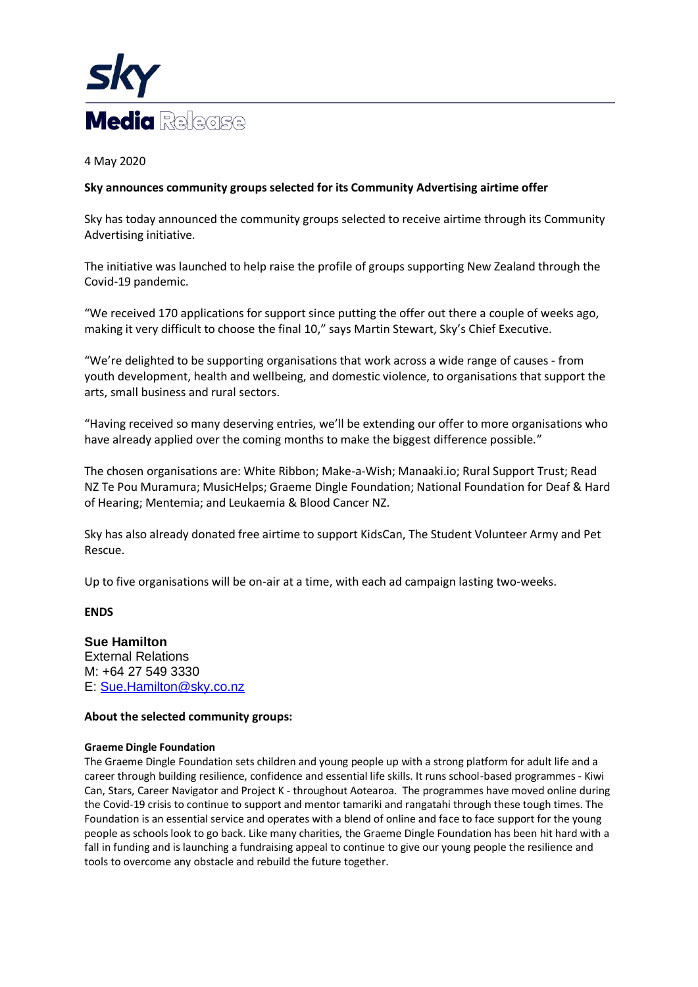

4 May 2020

# **Sky announces community groups selected for its Community Advertising airtime offer**

Sky has today announced the community groups selected to receive airtime through its Community Advertising initiative.

The initiative was launched to help raise the profile of groups supporting New Zealand through the Covid-19 pandemic.

"We received 170 applications for support since putting the offer out there a couple of weeks ago, making it very difficult to choose the final 10," says Martin Stewart, Sky's Chief Executive.

"We're delighted to be supporting organisations that work across a wide range of causes - from youth development, health and wellbeing, and domestic violence, to organisations that support the arts, small business and rural sectors.

"Having received so many deserving entries, we'll be extending our offer to more organisations who have already applied over the coming months to make the biggest difference possible."

The chosen organisations are: White Ribbon; Make-a-Wish; Manaaki.io; Rural Support Trust; Read NZ Te Pou Muramura; MusicHelps; Graeme Dingle Foundation; National Foundation for Deaf & Hard of Hearing; Mentemia; and Leukaemia & Blood Cancer NZ.

Sky has also already donated free airtime to support KidsCan, The Student Volunteer Army and Pet Rescue.

Up to five organisations will be on-air at a time, with each ad campaign lasting two-weeks.

**ENDS**

**Sue Hamilton** External Relations M: +64 27 549 3330 E: [Sue.Hamilton@sky.co.nz](mailto:Sue.Hamilton@sky.co.nz)

# **About the selected community groups:**

## **Graeme Dingle Foundation**

The Graeme Dingle Foundation sets children and young people up with a strong platform for adult life and a career through building resilience, confidence and essential life skills. It runs school-based programmes - Kiwi Can, Stars, Career Navigator and Project K - throughout Aotearoa. The programmes have moved online during the Covid-19 crisis to continue to support and mentor tamariki and rangatahi through these tough times. The Foundation is an essential service and operates with a blend of online and face to face support for the young people as schools look to go back. Like many charities, the Graeme Dingle Foundation has been hit hard with a fall in funding and is launching a fundraising appeal to continue to give our young people the resilience and tools to overcome any obstacle and rebuild the future together.